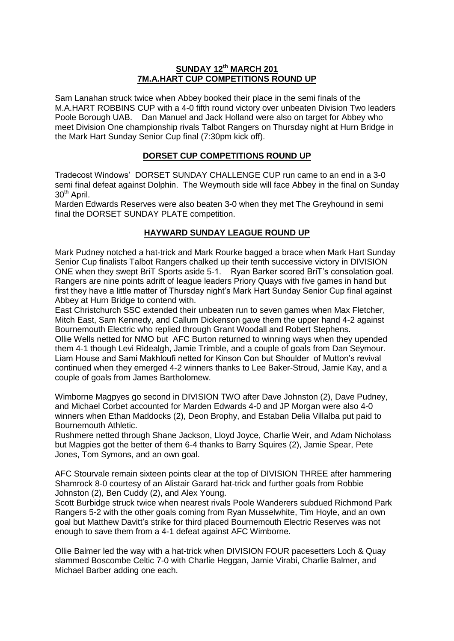## **SUNDAY 12th MARCH 201 7M.A.HART CUP COMPETITIONS ROUND UP**

Sam Lanahan struck twice when Abbey booked their place in the semi finals of the M.A.HART ROBBINS CUP with a 4-0 fifth round victory over unbeaten Division Two leaders Poole Borough UAB. Dan Manuel and Jack Holland were also on target for Abbey who meet Division One championship rivals Talbot Rangers on Thursday night at Hurn Bridge in the Mark Hart Sunday Senior Cup final (7:30pm kick off).

## **DORSET CUP COMPETITIONS ROUND UP**

Tradecost Windows' DORSET SUNDAY CHALLENGE CUP run came to an end in a 3-0 semi final defeat against Dolphin. The Weymouth side will face Abbey in the final on Sunday 30<sup>th</sup> April.

Marden Edwards Reserves were also beaten 3-0 when they met The Greyhound in semi final the DORSET SUNDAY PLATE competition.

## **HAYWARD SUNDAY LEAGUE ROUND UP**

Mark Pudney notched a hat-trick and Mark Rourke bagged a brace when Mark Hart Sunday Senior Cup finalists Talbot Rangers chalked up their tenth successive victory in DIVISION ONE when they swept BriT Sports aside 5-1. Ryan Barker scored BriT's consolation goal. Rangers are nine points adrift of league leaders Priory Quays with five games in hand but first they have a little matter of Thursday night's Mark Hart Sunday Senior Cup final against Abbey at Hurn Bridge to contend with.

East Christchurch SSC extended their unbeaten run to seven games when Max Fletcher, Mitch East, Sam Kennedy, and Callum Dickenson gave them the upper hand 4-2 against Bournemouth Electric who replied through Grant Woodall and Robert Stephens.

Ollie Wells netted for NMO but AFC Burton returned to winning ways when they upended them 4-1 though Levi Ridealgh, Jamie Trimble, and a couple of goals from Dan Seymour. Liam House and Sami Makhloufi netted for Kinson Con but Shoulder of Mutton's revival continued when they emerged 4-2 winners thanks to Lee Baker-Stroud, Jamie Kay, and a couple of goals from James Bartholomew.

Wimborne Magpyes go second in DIVISION TWO after Dave Johnston (2), Dave Pudney, and Michael Corbet accounted for Marden Edwards 4-0 and JP Morgan were also 4-0 winners when Ethan Maddocks (2), Deon Brophy, and Estaban Delia Villalba put paid to Bournemouth Athletic.

Rushmere netted through Shane Jackson, Lloyd Joyce, Charlie Weir, and Adam Nicholass but Magpies got the better of them 6-4 thanks to Barry Squires (2), Jamie Spear, Pete Jones, Tom Symons, and an own goal.

AFC Stourvale remain sixteen points clear at the top of DIVISION THREE after hammering Shamrock 8-0 courtesy of an Alistair Garard hat-trick and further goals from Robbie Johnston (2), Ben Cuddy (2), and Alex Young.

Scott Burbidge struck twice when nearest rivals Poole Wanderers subdued Richmond Park Rangers 5-2 with the other goals coming from Ryan Musselwhite, Tim Hoyle, and an own goal but Matthew Davitt's strike for third placed Bournemouth Electric Reserves was not enough to save them from a 4-1 defeat against AFC Wimborne.

Ollie Balmer led the way with a hat-trick when DIVISION FOUR pacesetters Loch & Quay slammed Boscombe Celtic 7-0 with Charlie Heggan, Jamie Virabi, Charlie Balmer, and Michael Barber adding one each.